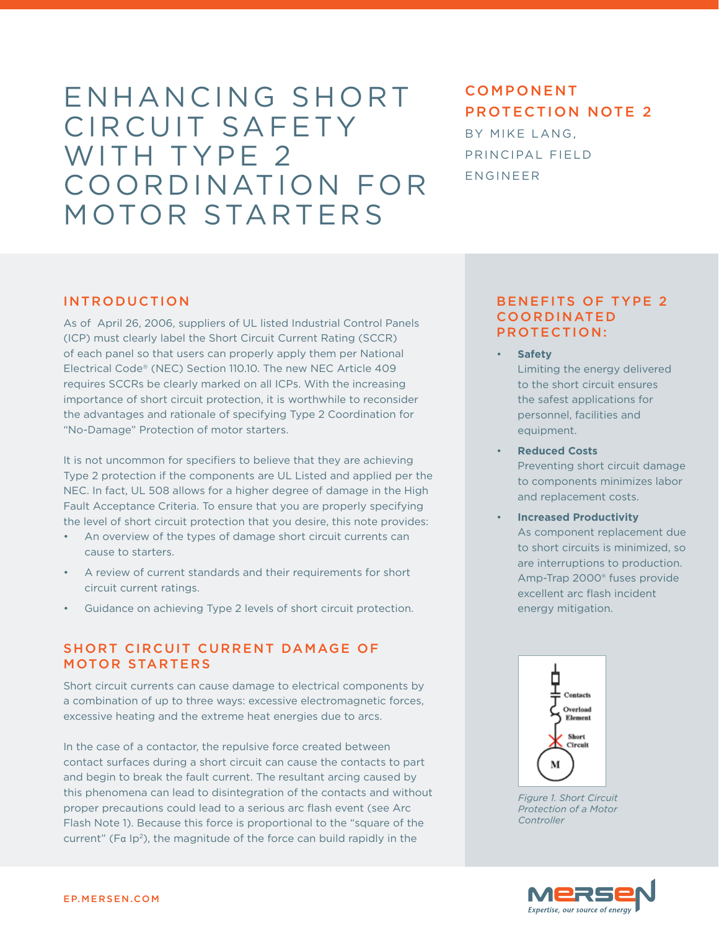# Enhancing Short CIRCUIT SAFETY WITH TYPE 2 Coordination for Motor Starters

# component protection note 2 By mike lang, Principal field engineer

#### **INTRODUCTION**

As of April 26, 2006, suppliers of UL listed Industrial Control Panels (ICP) must clearly label the Short Circuit Current Rating (SCCR) of each panel so that users can properly apply them per National Electrical Code® (NEC) Section 110.10. The new NEC Article 409 requires SCCRs be clearly marked on all ICPs. With the increasing importance of short circuit protection, it is worthwhile to reconsider the advantages and rationale of specifying Type 2 Coordination for "No-Damage" Protection of motor starters.

It is not uncommon for specifiers to believe that they are achieving Type 2 protection if the components are UL Listed and applied per the NEC. In fact, UL 508 allows for a higher degree of damage in the High Fault Acceptance Criteria. To ensure that you are properly specifying the level of short circuit protection that you desire, this note provides:

- • An overview of the types of damage short circuit currents can cause to starters.
- A review of current standards and their requirements for short circuit current ratings.
- Guidance on achieving Type 2 levels of short circuit protection.

#### Short Circuit Current Damage of Motor Starters

Short circuit currents can cause damage to electrical components by a combination of up to three ways: excessive electromagnetic forces, excessive heating and the extreme heat energies due to arcs.

In the case of a contactor, the repulsive force created between contact surfaces during a short circuit can cause the contacts to part and begin to break the fault current. The resultant arcing caused by this phenomena can lead to disintegration of the contacts and without proper precautions could lead to a serious arc flash event (see Arc Flash Note 1). Because this force is proportional to the "square of the current" ( $Fa$  Ip<sup>2</sup>), the magnitude of the force can build rapidly in the

#### Benefits of Type 2 **COORDINATED** Protection:

• **Safety**

Limiting the energy delivered to the short circuit ensures the safest applications for personnel, facilities and equipment.

**Reduced Costs** 

Preventing short circuit damage to components minimizes labor and replacement costs.

**Increased Productivity** As component replacement due to short circuits is minimized, so are interruptions to production. Amp-Trap 2000® fuses provide excellent arc flash incident energy mitigation.



*Figure 1. Short Circuit Protection of a Motor Controller*

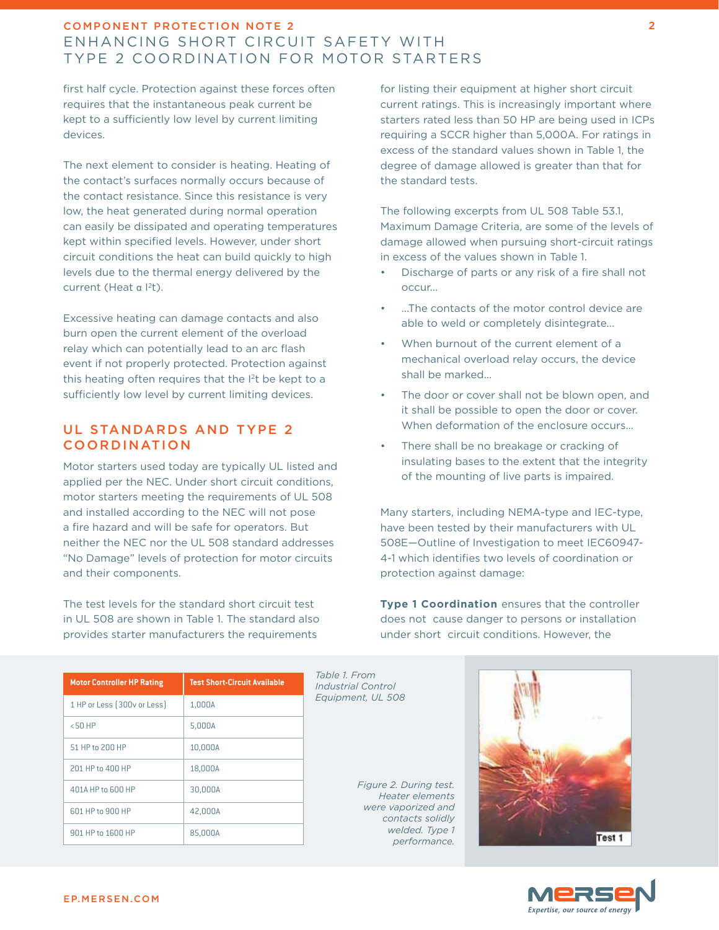# component protection note 2 Enhancing Short Circuit Safety with Type 2 Coordination for Motor Starters

first half cycle. Protection against these forces often requires that the instantaneous peak current be kept to a sufficiently low level by current limiting devices.

The next element to consider is heating. Heating of the contact's surfaces normally occurs because of the contact resistance. Since this resistance is very low, the heat generated during normal operation can easily be dissipated and operating temperatures kept within specified levels. However, under short circuit conditions the heat can build quickly to high levels due to the thermal energy delivered by the current (Heat α <sup>|2</sup>t).

Excessive heating can damage contacts and also burn open the current element of the overload relay which can potentially lead to an arc flash event if not properly protected. Protection against this heating often requires that the I 2t be kept to a sufficiently low level by current limiting devices.

#### UL Standards and Type 2 Coordination

Motor starters used today are typically UL listed and applied per the NEC. Under short circuit conditions, motor starters meeting the requirements of UL 508 and installed according to the NEC will not pose a fire hazard and will be safe for operators. But neither the NEC nor the UL 508 standard addresses "No Damage" levels of protection for motor circuits and their components.

The test levels for the standard short circuit test in UL 508 are shown in Table 1. The standard also provides starter manufacturers the requirements

for listing their equipment at higher short circuit current ratings. This is increasingly important where starters rated less than 50 HP are being used in ICPs requiring a SCCR higher than 5,000A. For ratings in excess of the standard values shown in Table 1, the degree of damage allowed is greater than that for the standard tests.

The following excerpts from UL 508 Table 53.1, Maximum Damage Criteria, are some of the levels of damage allowed when pursuing short-circuit ratings in excess of the values shown in Table 1.

- Discharge of parts or any risk of a fire shall not occur...
- ...The contacts of the motor control device are able to weld or completely disintegrate...
- When burnout of the current element of a mechanical overload relay occurs, the device shall be marked...
- The door or cover shall not be blown open, and it shall be possible to open the door or cover. When deformation of the enclosure occurs...
- There shall be no breakage or cracking of insulating bases to the extent that the integrity of the mounting of live parts is impaired.

Many starters, including NEMA-type and IEC-type, have been tested by their manufacturers with UL 508E—Outline of Investigation to meet IEC60947- 4-1 which identifies two levels of coordination or protection against damage:

**Type 1 Coordination** ensures that the controller does not cause danger to persons or installation under short circuit conditions. However, the

| <b>Motor Controller HP Rating</b> | <b>Test Short-Circuit Available</b> |
|-----------------------------------|-------------------------------------|
| 1 HP or Less (300v or Less)       | 1,000A                              |
| $< 50$ HP                         | 5,000A                              |
| 51 HP to 200 HP                   | 10,000A                             |
| 201 HP to 400 HP                  | 18,000A                             |
| 401A HP to 600 HP                 | 30,000A                             |
| 601 HP to 900 HP                  | 42,000A                             |
| 901 HP to 1600 HP                 | 85,000A                             |

*Table 1. From Industrial Control Equipment, UL 508*

*Figure 2. During test. Heater elements were vaporized and contacts solidly welded. Type 1 performance.*



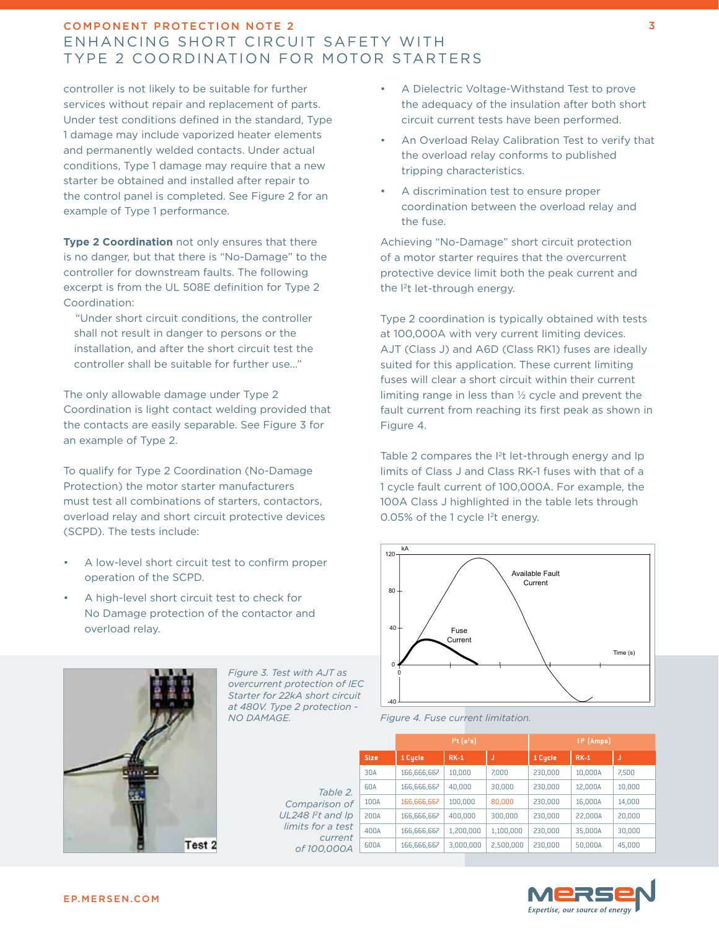# component protection note 2 Enhancing Short Circuit Safety with Type 2 Coordination for Motor Starters

controller is not likely to be suitable for further services without repair and replacement of parts. Under test conditions defined in the standard, Type 1 damage may include vaporized heater elements and permanently welded contacts. Under actual conditions, Type 1 damage may require that a new starter be obtained and installed after repair to the control panel is completed. See Figure 2 for an example of Type 1 performance.

**Type 2 Coordination** not only ensures that there is no danger, but that there is "No-Damage" to the controller for downstream faults. The following excerpt is from the UL 508E definition for Type 2 Coordination:

 "Under short circuit conditions, the controller shall not result in danger to persons or the installation, and after the short circuit test the controller shall be suitable for further use..."

The only allowable damage under Type 2 Coordination is light contact welding provided that the contacts are easily separable. See Figure 3 for an example of Type 2.

To qualify for Type 2 Coordination (No-Damage Protection) the motor starter manufacturers must test all combinations of starters, contactors, overload relay and short circuit protective devices (SCPD). The tests include:

- A low-level short circuit test to confirm proper operation of the SCPD.
- A high-level short circuit test to check for No Damage protection of the contactor and overload relay.



*Figure 3. Test with AJT as overcurrent protection of IEC Starter for 22kA short circuit at 480V. Type 2 protection - NO DAMAGE.*

> *Table 2.*  Comparison of *UL248 Pt and Ip limits for a test curren of 100,000A*

- A Dielectric Voltage-Withstand Test to prove the adequacy of the insulation after both short circuit current tests have been performed.
- An Overload Relay Calibration Test to verify that the overload relay conforms to published tripping characteristics.
- A discrimination test to ensure proper coordination between the overload relay and the fuse.

Achieving "No-Damage" short circuit protection of a motor starter requires that the overcurrent protective device limit both the peak current and the I 2t let-through energy.

Type 2 coordination is typically obtained with tests at 100,000A with very current limiting devices. AJT (Class J) and A6D (Class RK1) fuses are ideally suited for this application. These current limiting fuses will clear a short circuit within their current limiting range in less than ½ cycle and prevent the fault current from reaching its first peak as shown in Figure 4.

Table 2 compares the <sup>2</sup>t let-through energy and Ip limits of Class J and Class RK-1 fuses with that of a 1 cycle fault current of 100,000A. For example, the 100A Class J highlighted in the table lets through 0.05% of the 1 cycle I 2t energy.





|               |             | 1 <sup>2</sup> t [a <sup>2</sup> s] |             |           | IP (Amps) |         |        |
|---------------|-------------|-------------------------------------|-------------|-----------|-----------|---------|--------|
|               | <b>Size</b> | 1 Cycle                             | <b>RK-1</b> |           | 1 Cycle   | $RK-1$  | J      |
| 2.<br>υf      | 30A         | 166,666,667                         | 10,000      | 7,000     | 230,000   | 10,000A | 7,500  |
|               | 60A         | 166,666,667                         | 40,000      | 30,000    | 230,000   | 12,000A | 10,000 |
|               | 100A        | 166,666,667                         | 100,000     | 80,000    | 230,000   | 16,000A | 14,000 |
| D             | 200A        | 166,666,667                         | 400,000     | 300,000   | 230,000   | 22,000A | 20,000 |
| ;t<br>ıt<br>4 | 400A        | 166,666,667                         | 1,200,000   | 1,100,000 | 230,000   | 35,000A | 30,000 |
|               | 600A        | 166,666,667                         | 3,000,000   | 2,500,000 | 230,000   | 50,000A | 45,000 |